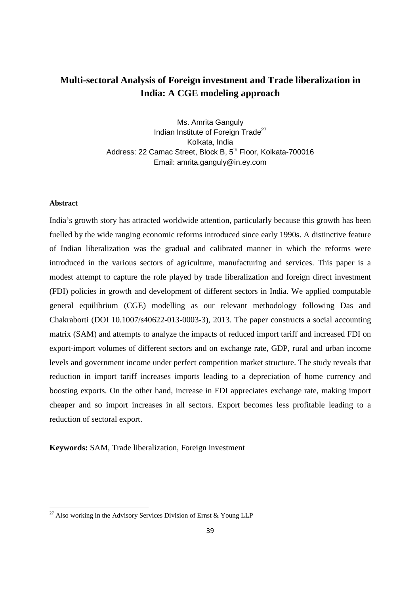# **Multi-sectoral Analysis of Foreign investment and Trade liberalization in India: A CGE modeling approach**

Ms. Amrita Ganguly Indian Institute of Foreign Trade<sup>27</sup> Kolkata, India Address: 22 Camac Street, Block B, 5<sup>th</sup> Floor, Kolkata-700016 Email: amrita.ganguly@in.ey.com

#### **Abstract**

.<br>-

India's growth story has attracted worldwide attention, particularly because this growth has been fuelled by the wide ranging economic reforms introduced since early 1990s. A distinctive feature of Indian liberalization was the gradual and calibrated manner in which the reforms were introduced in the various sectors of agriculture, manufacturing and services. This paper is a modest attempt to capture the role played by trade liberalization and foreign direct investment (FDI) policies in growth and development of different sectors in India. We applied computable general equilibrium (CGE) modelling as our relevant methodology following Das and Chakraborti (DOI 10.1007/s40622-013-0003-3), 2013. The paper constructs a social accounting matrix (SAM) and attempts to analyze the impacts of reduced import tariff and increased FDI on export-import volumes of different sectors and on exchange rate, GDP, rural and urban income levels and government income under perfect competition market structure. The study reveals that reduction in import tariff increases imports leading to a depreciation of home currency and boosting exports. On the other hand, increase in FDI appreciates exchange rate, making import cheaper and so import increases in all sectors. Export becomes less profitable leading to a reduction of sectoral export.

**Keywords:** SAM, Trade liberalization, Foreign investment

<sup>&</sup>lt;sup>27</sup> Also working in the Advisory Services Division of Ernst & Young LLP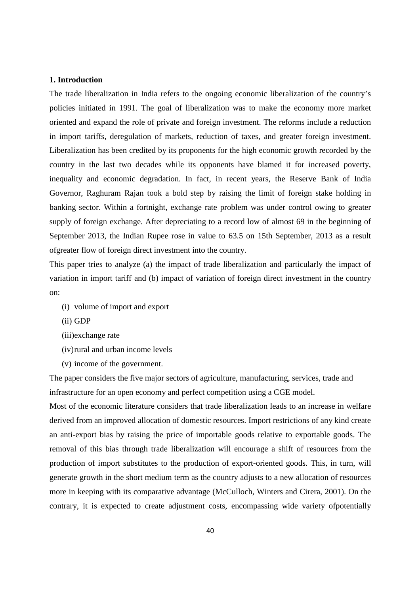#### **1. Introduction**

The trade liberalization in India refers to the ongoing economic liberalization of the country's policies initiated in 1991. The goal of liberalization was to make the economy more market oriented and expand the role of private and foreign investment. The reforms include a reduction in import tariffs, deregulation of markets, reduction of taxes, and greater foreign investment. Liberalization has been credited by its proponents for the high economic growth recorded by the country in the last two decades while its opponents have blamed it for increased poverty, inequality and economic degradation. In fact, in recent years, the Reserve Bank of India Governor, Raghuram Rajan took a bold step by raising the limit of foreign stake holding in banking sector. Within a fortnight, exchange rate problem was under control owing to greater supply of foreign exchange. After depreciating to a record low of almost 69 in the beginning of September 2013, the Indian Rupee rose in value to 63.5 on 15th September, 2013 as a result ofgreater flow of foreign direct investment into the country.

This paper tries to analyze (a) the impact of trade liberalization and particularly the impact of variation in import tariff and (b) impact of variation of foreign direct investment in the country on:

- (i) volume of import and export
- (ii) GDP
- (iii)exchange rate
- (iv)rural and urban income levels
- (v) income of the government.

The paper considers the five major sectors of agriculture, manufacturing, services, trade and infrastructure for an open economy and perfect competition using a CGE model.

Most of the economic literature considers that trade liberalization leads to an increase in welfare derived from an improved allocation of domestic resources. Import restrictions of any kind create an anti-export bias by raising the price of importable goods relative to exportable goods. The removal of this bias through trade liberalization will encourage a shift of resources from the production of import substitutes to the production of export-oriented goods. This, in turn, will generate growth in the short medium term as the country adjusts to a new allocation of resources more in keeping with its comparative advantage (McCulloch, Winters and Cirera, 2001). On the contrary, it is expected to create adjustment costs, encompassing wide variety ofpotentially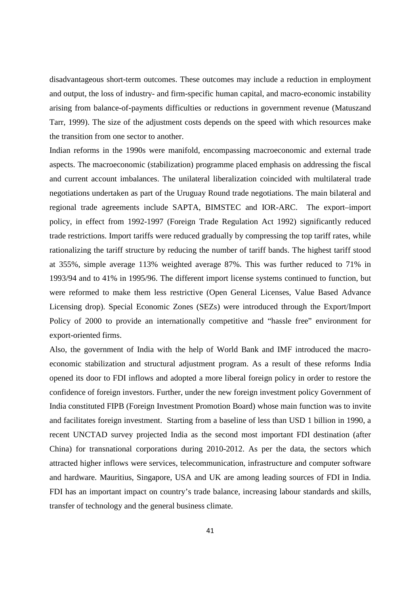disadvantageous short-term outcomes. These outcomes may include a reduction in employment and output, the loss of industry- and firm-specific human capital, and macro-economic instability arising from balance-of-payments difficulties or reductions in government revenue (Matuszand Tarr, 1999). The size of the adjustment costs depends on the speed with which resources make the transition from one sector to another.

Indian reforms in the 1990s were manifold, encompassing macroeconomic and external trade aspects. The macroeconomic (stabilization) programme placed emphasis on addressing the fiscal and current account imbalances. The unilateral liberalization coincided with multilateral trade negotiations undertaken as part of the Uruguay Round trade negotiations. The main bilateral and regional trade agreements include SAPTA, BIMSTEC and IOR-ARC. The export–import policy, in effect from 1992-1997 (Foreign Trade Regulation Act 1992) significantly reduced trade restrictions. Import tariffs were reduced gradually by compressing the top tariff rates, while rationalizing the tariff structure by reducing the number of tariff bands. The highest tariff stood at 355%, simple average 113% weighted average 87%. This was further reduced to 71% in 1993/94 and to 41% in 1995/96. The different import license systems continued to function, but were reformed to make them less restrictive (Open General Licenses, Value Based Advance Licensing drop). Special Economic Zones (SEZs) were introduced through the Export/Import Policy of 2000 to provide an internationally competitive and "hassle free" environment for export-oriented firms.

Also, the government of India with the help of World Bank and IMF introduced the macroeconomic stabilization and structural adjustment program. As a result of these reforms India opened its door to FDI inflows and adopted a more liberal foreign policy in order to restore the confidence of foreign investors. Further, under the new foreign investment policy Government of India constituted FIPB (Foreign Investment Promotion Board) whose main function was to invite and facilitates foreign investment. Starting from a baseline of less than USD 1 billion in 1990, a recent UNCTAD survey projected India as the second most important FDI destination (after China) for transnational corporations during 2010-2012. As per the data, the sectors which attracted higher inflows were services, telecommunication, infrastructure and computer software and hardware. Mauritius, Singapore, USA and UK are among leading sources of FDI in India. FDI has an important impact on country's trade balance, increasing labour standards and skills, transfer of technology and the general business climate.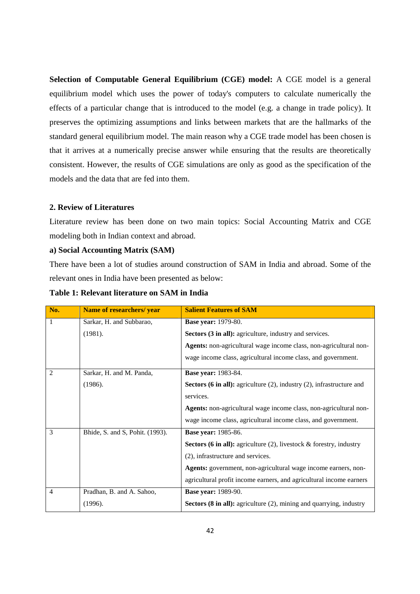**Selection of Computable General Equilibrium (CGE) model:** A CGE model is a general equilibrium model which uses the power of today's computers to calculate numerically the effects of a particular change that is introduced to the model (e.g. a change in trade policy). It preserves the optimizing assumptions and links between markets that are the hallmarks of the standard general equilibrium model. The main reason why a CGE trade model has been chosen is that it arrives at a numerically precise answer while ensuring that the results are theoretically consistent. However, the results of CGE simulations are only as good as the specification of the models and the data that are fed into them.

#### **2. Review of Literatures**

Literature review has been done on two main topics: Social Accounting Matrix and CGE modeling both in Indian context and abroad.

#### **a) Social Accounting Matrix (SAM)**

There have been a lot of studies around construction of SAM in India and abroad. Some of the relevant ones in India have been presented as below:

| No.            | <b>Name of researchers/ year</b> | <b>Salient Features of SAM</b>                                                |
|----------------|----------------------------------|-------------------------------------------------------------------------------|
| $\mathbf{1}$   | Sarkar, H. and Subbarao,         | <b>Base year: 1979-80.</b>                                                    |
|                | (1981).                          | Sectors (3 in all): agriculture, industry and services.                       |
|                |                                  | Agents: non-agricultural wage income class, non-agricultural non-             |
|                |                                  | wage income class, agricultural income class, and government.                 |
| $\overline{c}$ | Sarkar, H. and M. Panda,         | <b>Base year: 1983-84.</b>                                                    |
|                | (1986).                          | Sectors (6 in all): agriculture $(2)$ , industry $(2)$ , infrastructure and   |
|                |                                  | services.                                                                     |
|                |                                  | Agents: non-agricultural wage income class, non-agricultural non-             |
|                |                                  | wage income class, agricultural income class, and government.                 |
| 3              | Bhide, S. and S. Pohit. (1993).  | <b>Base year: 1985-86.</b>                                                    |
|                |                                  | <b>Sectors (6 in all):</b> agriculture (2), livestock $\&$ forestry, industry |
|                |                                  | (2), infrastructure and services.                                             |
|                |                                  | Agents: government, non-agricultural wage income earners, non-                |
|                |                                  | agricultural profit income earners, and agricultural income earners           |
| $\overline{4}$ | Pradhan, B. and A. Sahoo,        | <b>Base year: 1989-90.</b>                                                    |
|                | (1996).                          | <b>Sectors (8 in all):</b> agriculture (2), mining and quarrying, industry    |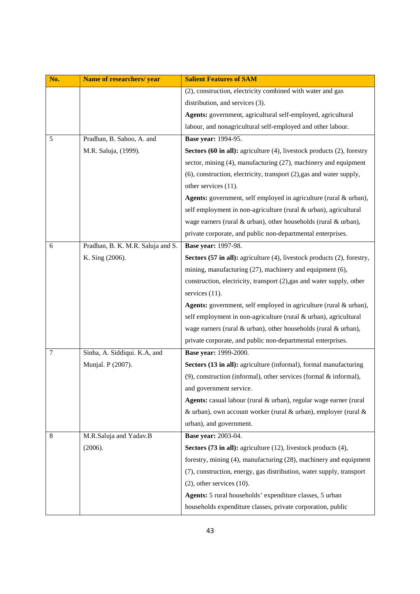| No. | Name of researchers/ year         | <b>Salient Features of SAM</b>                                          |
|-----|-----------------------------------|-------------------------------------------------------------------------|
|     |                                   | (2), construction, electricity combined with water and gas              |
|     |                                   | distribution, and services (3).                                         |
|     |                                   | Agents: government, agricultural self-employed, agricultural            |
|     |                                   | labour, and nonagricultural self-employed and other labour.             |
| 5   | Pradhan, B. Sahoo, A. and         | <b>Base year: 1994-95.</b>                                              |
|     | M.R. Saluja, (1999).              | Sectors (60 in all): agriculture (4), livestock products (2), forestry  |
|     |                                   | sector, mining (4), manufacturing (27), machinery and equipment         |
|     |                                   | (6), construction, electricity, transport (2), gas and water supply,    |
|     |                                   | other services (11).                                                    |
|     |                                   | Agents: government, self employed in agriculture (rural & urban),       |
|     |                                   | self employment in non-agriculture (rural & urban), agricultural        |
|     |                                   | wage earners (rural & urban), other households (rural & urban),         |
|     |                                   | private corporate, and public non-departmental enterprises.             |
| 6   | Pradhan, B. K. M.R. Saluja and S. | <b>Base year: 1997-98.</b>                                              |
|     | K. Sing (2006).                   | Sectors (57 in all): agriculture (4), livestock products (2), forestry, |
|     |                                   | mining, manufacturing (27), machinery and equipment (6),                |
|     |                                   | construction, electricity, transport (2), gas and water supply, other   |
|     |                                   | services $(11)$ .                                                       |
|     |                                   | Agents: government, self employed in agriculture (rural & urban),       |
|     |                                   | self employment in non-agriculture (rural & urban), agricultural        |
|     |                                   | wage earners (rural & urban), other households (rural & urban),         |
|     |                                   | private corporate, and public non-departmental enterprises.             |
| 7   | Sinha, A. Siddiqui. K.A, and      | Base year: 1999-2000.                                                   |
|     | Munjal. P (2007).                 | Sectors (13 in all): agriculture (informal), formal manufacturing       |
|     |                                   | (9), construction (informal), other services (formal & informal),       |
|     |                                   | and government service.                                                 |
|     |                                   | Agents: casual labour (rural & urban), regular wage earner (rural       |
|     |                                   | & urban), own account worker (rural & urban), employer (rural &         |
|     |                                   | urban), and government.                                                 |
| 8   | M.R.Saluja and Yadav.B            | <b>Base year: 2003-04.</b>                                              |
|     | (2006).                           | Sectors (73 in all): agriculture (12), livestock products (4),          |
|     |                                   | forestry, mining (4), manufacturing (28), machinery and equipment       |
|     |                                   | (7), construction, energy, gas distribution, water supply, transport    |
|     |                                   | $(2)$ , other services $(10)$ .                                         |
|     |                                   | Agents: 5 rural households' expenditure classes, 5 urban                |
|     |                                   | households expenditure classes, private corporation, public             |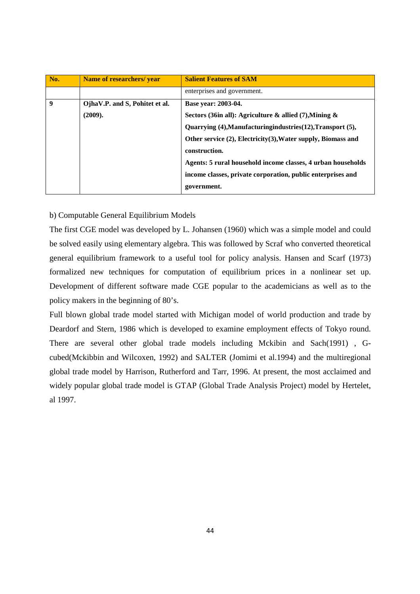| No.              | Name of researchers/year       | <b>Salient Features of SAM</b>                               |
|------------------|--------------------------------|--------------------------------------------------------------|
|                  |                                | enterprises and government.                                  |
| $\boldsymbol{q}$ | OjhaV.P. and S, Pohitet et al. | Base year: 2003-04.                                          |
|                  | (2009).                        | Sectors (36in all): Agriculture & allied (7), Mining &       |
|                  |                                | Quarrying (4), Manufacturing industries (12), Transport (5), |
|                  |                                | Other service (2), Electricity(3), Water supply, Biomass and |
|                  |                                | construction.                                                |
|                  |                                | Agents: 5 rural household income classes, 4 urban households |
|                  |                                | income classes, private corporation, public enterprises and  |
|                  |                                | government.                                                  |

#### b) Computable General Equilibrium Models

The first CGE model was developed by L. Johansen (1960) which was a simple model and could be solved easily using elementary algebra. This was followed by Scraf who converted theoretical general equilibrium framework to a useful tool for policy analysis. Hansen and Scarf (1973) formalized new techniques for computation of equilibrium prices in a nonlinear set up. Development of different software made CGE popular to the academicians as well as to the policy makers in the beginning of 80's.

Full blown global trade model started with Michigan model of world production and trade by Deardorf and Stern, 1986 which is developed to examine employment effects of Tokyo round. There are several other global trade models including Mckibin and Sach(1991) , Gcubed(Mckibbin and Wilcoxen, 1992) and SALTER (Jomimi et al.1994) and the multiregional global trade model by Harrison, Rutherford and Tarr, 1996. At present, the most acclaimed and widely popular global trade model is GTAP (Global Trade Analysis Project) model by Hertelet, al 1997.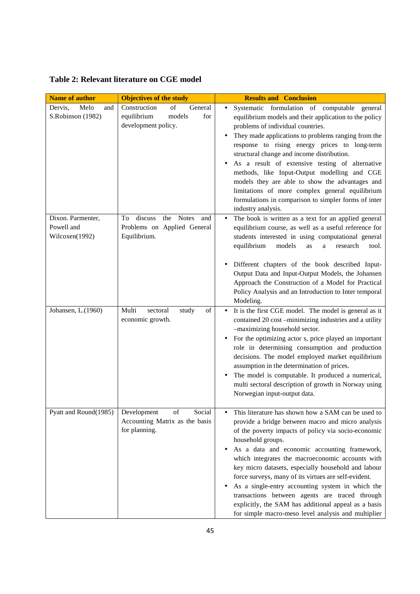# **Table 2: Relevant literature on CGE model**

| <b>Name of author</b>                             | <b>Objectives of the study</b>                                                             | <b>Results and Conclusion</b>                                                                                                                                                                                                                                                                                                                                                                                                                                                                                                                                                                                               |
|---------------------------------------------------|--------------------------------------------------------------------------------------------|-----------------------------------------------------------------------------------------------------------------------------------------------------------------------------------------------------------------------------------------------------------------------------------------------------------------------------------------------------------------------------------------------------------------------------------------------------------------------------------------------------------------------------------------------------------------------------------------------------------------------------|
| Melo<br>Dervis,<br>and<br>S.Robinson (1982)       | Construction<br>of<br>General<br>equilibrium<br>models<br>for<br>development policy.       | Systematic formulation of computable general<br>$\bullet$<br>equilibrium models and their application to the policy<br>problems of individual countries.<br>They made applications to problems ranging from the<br>response to rising energy prices to long-term<br>structural change and income distribution.<br>As a result of extensive testing of alternative<br>methods, like Input-Output modelling and CGE<br>models they are able to show the advantages and<br>limitations of more complex general equilibrium<br>formulations in comparison to simpler forms of inter<br>industry analysis.                       |
| Dixon. Parmenter,<br>Powell and<br>Wilcoxen(1992) | <b>Notes</b><br>To<br>discuss<br>the<br>and<br>Problems on Applied General<br>Equilibrium. | The book is written as a text for an applied general<br>equilibrium course, as well as a useful reference for<br>students interested in using computational general<br>equilibrium<br>models<br>research<br>as<br>$\mathbf a$<br>tool.                                                                                                                                                                                                                                                                                                                                                                                      |
|                                                   |                                                                                            | Different chapters of the book described Input-<br>Output Data and Input-Output Models, the Johansen<br>Approach the Construction of a Model for Practical<br>Policy Analysis and an Introduction to Inter temporal<br>Modeling.                                                                                                                                                                                                                                                                                                                                                                                            |
| Johansen, L.(1960)                                | Multi<br>$_{\mathrm{of}}$<br>sectoral<br>study<br>economic growth.                         | It is the first CGE model. The model is general as it<br>$\bullet$<br>contained 20 cost -minimizing industries and a utility<br>-maximizing household sector.<br>For the optimizing actor s, price played an important<br>role in determining consumption and production<br>decisions. The model employed market equilibrium<br>assumption in the determination of prices.<br>The model is computable. It produced a numerical,<br>multi sectoral description of growth in Norway using<br>Norwegian input-output data.                                                                                                     |
| Pyatt and Round(1985)                             | of<br>Development<br>Social<br>Accounting Matrix as the basis<br>for planning.             | This literature has shown how a SAM can be used to<br>provide a bridge between macro and micro analysis<br>of the poverty impacts of policy via socio-economic<br>household groups.<br>As a data and economic accounting framework,<br>which integrates the macroeconomic accounts with<br>key micro datasets, especially household and labour<br>force surveys, many of its virtues are self-evident.<br>As a single-entry accounting system in which the<br>transactions between agents are traced through<br>explicitly, the SAM has additional appeal as a basis<br>for simple macro-meso level analysis and multiplier |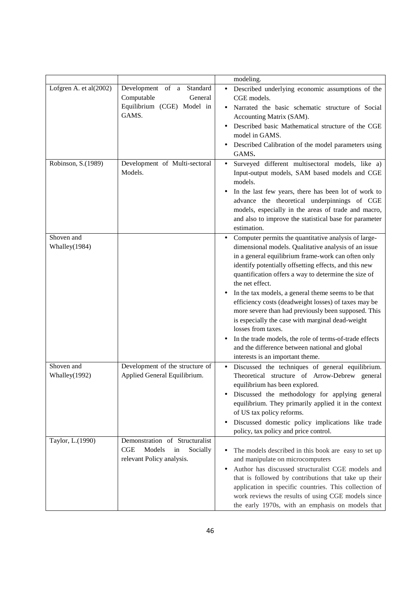|                        |                                 | modeling.                                                                                       |
|------------------------|---------------------------------|-------------------------------------------------------------------------------------------------|
| Lofgren A. et al(2002) | Development of a Standard       | Described underlying economic assumptions of the<br>$\bullet$                                   |
|                        | Computable<br>General           | CGE models.                                                                                     |
|                        | Equilibrium (CGE) Model in      | Narrated the basic schematic structure of Social                                                |
|                        | GAMS.                           | Accounting Matrix (SAM).                                                                        |
|                        |                                 | Described basic Mathematical structure of the CGE                                               |
|                        |                                 | model in GAMS.                                                                                  |
|                        |                                 | Described Calibration of the model parameters using                                             |
|                        |                                 | GAMS.                                                                                           |
| Robinson, S.(1989)     | Development of Multi-sectoral   | Surveyed different multisectoral models, like a)<br>$\bullet$                                   |
|                        | Models.                         | Input-output models, SAM based models and CGE                                                   |
|                        |                                 | models.                                                                                         |
|                        |                                 | In the last few years, there has been lot of work to                                            |
|                        |                                 | advance the theoretical underpinnings of CGE                                                    |
|                        |                                 | models, especially in the areas of trade and macro,                                             |
|                        |                                 | and also to improve the statistical base for parameter<br>estimation.                           |
| Shoven and             |                                 | Computer permits the quantitative analysis of large-<br>$\bullet$                               |
| Whalley(1984)          |                                 | dimensional models. Qualitative analysis of an issue                                            |
|                        |                                 | in a general equilibrium frame-work can often only                                              |
|                        |                                 | identify potentially offsetting effects, and this new                                           |
|                        |                                 | quantification offers a way to determine the size of                                            |
|                        |                                 | the net effect.                                                                                 |
|                        |                                 | In the tax models, a general theme seems to be that                                             |
|                        |                                 | efficiency costs (deadweight losses) of taxes may be                                            |
|                        |                                 | more severe than had previously been supposed. This                                             |
|                        |                                 | is especially the case with marginal dead-weight                                                |
|                        |                                 | losses from taxes.                                                                              |
|                        |                                 | In the trade models, the role of terms-of-trade effects                                         |
|                        |                                 | and the difference between national and global                                                  |
|                        |                                 | interests is an important theme.                                                                |
| Shoven and             | Development of the structure of | Discussed the techniques of general equilibrium.<br>$\bullet$                                   |
| Whalley(1992)          | Applied General Equilibrium.    | Theoretical structure of Arrow-Debrew general                                                   |
|                        |                                 | equilibrium has been explored.                                                                  |
|                        |                                 | Discussed the methodology for applying general                                                  |
|                        |                                 | equilibrium. They primarily applied it in the context                                           |
|                        |                                 | of US tax policy reforms.                                                                       |
|                        |                                 | Discussed domestic policy implications like trade<br>٠<br>policy, tax policy and price control. |
| Taylor, L.(1990)       | Demonstration of Structuralist  |                                                                                                 |
|                        | CGE<br>Models<br>Socially<br>in | The models described in this book are easy to set up<br>$\bullet$                               |
|                        | relevant Policy analysis.       | and manipulate on microcomputers                                                                |
|                        |                                 | Author has discussed structuralist CGE models and<br>$\bullet$                                  |
|                        |                                 | that is followed by contributions that take up their                                            |
|                        |                                 | application in specific countries. This collection of                                           |
|                        |                                 | work reviews the results of using CGE models since                                              |
|                        |                                 | the early 1970s, with an emphasis on models that                                                |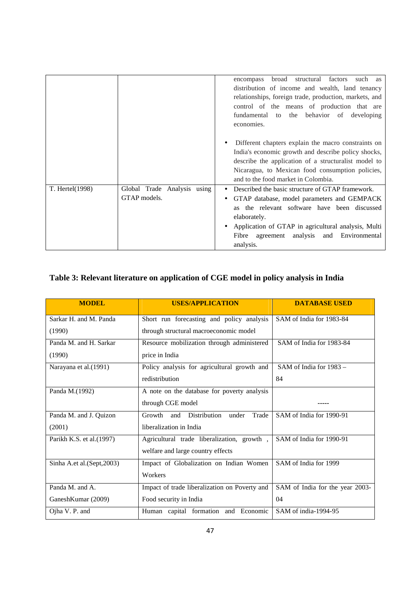|                 |                                             | structural factors such as<br>broad<br>encompass<br>distribution of income and wealth, land tenancy<br>relationships, foreign trade, production, markets, and<br>control of the means of production that are<br>fundamental to the behavior of developing<br>economies.                     |
|-----------------|---------------------------------------------|---------------------------------------------------------------------------------------------------------------------------------------------------------------------------------------------------------------------------------------------------------------------------------------------|
|                 |                                             | Different chapters explain the macro constraints on<br>٠<br>India's economic growth and describe policy shocks,<br>describe the application of a structuralist model to<br>Nicaragua, to Mexican food consumption policies,<br>and to the food market in Colombia.                          |
| T. Hertel(1998) | Global Trade Analysis using<br>GTAP models. | Described the basic structure of GTAP framework.<br>GTAP database, model parameters and GEMPACK<br>the relevant software have been discussed<br><b>as</b><br>elaborately.<br>Application of GTAP in agricultural analysis, Multi<br>Fibre agreement analysis and Environmental<br>analysis. |

# **Table 3: Relevant literature on application of CGE model in policy analysis in India**

| <b>MODEL</b>                | <b>USES/APPLICATION</b>                         | <b>DATABASE USED</b>            |
|-----------------------------|-------------------------------------------------|---------------------------------|
| Sarkar H. and M. Panda      | Short run forecasting and policy analysis       | SAM of India for 1983-84        |
| (1990)                      | through structural macroeconomic model          |                                 |
| Panda M. and H. Sarkar      | Resource mobilization through administered      | SAM of India for 1983-84        |
| (1990)                      | price in India                                  |                                 |
| Narayana et al.(1991)       | Policy analysis for agricultural growth and     | SAM of India for 1983 -         |
|                             | redistribution                                  | 84                              |
| Panda M.(1992)              | A note on the database for poverty analysis     |                                 |
|                             | through CGE model                               |                                 |
| Panda M. and J. Quizon      | Distribution<br>Trade<br>Growth<br>and<br>under | SAM of India for 1990-91        |
| (2001)                      | liberalization in India                         |                                 |
| Parikh K.S. et al.(1997)    | Agricultural trade liberalization, growth,      | SAM of India for 1990-91        |
|                             | welfare and large country effects               |                                 |
| Sinha A.et al. (Sept, 2003) | Impact of Globalization on Indian Women         | SAM of India for 1999           |
|                             | Workers                                         |                                 |
| Panda M. and A.             | Impact of trade liberalization on Poverty and   | SAM of India for the year 2003- |
| GaneshKumar (2009)          | Food security in India                          | 04                              |
| Ojha V. P. and              | Human capital formation and Economic            | SAM of india-1994-95            |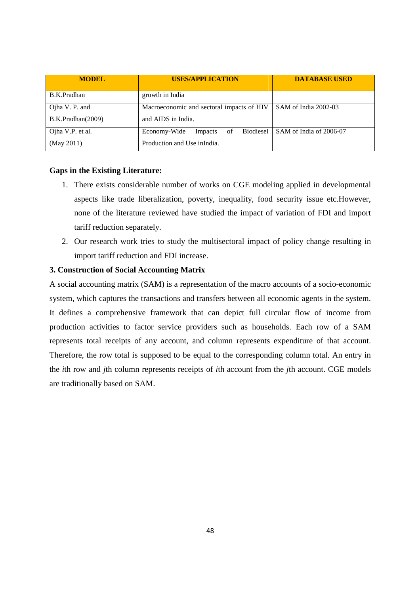| <b>MODEL</b>      | <b>USES/APPLICATION</b>                    | <b>DATABASE USED</b>    |  |  |  |
|-------------------|--------------------------------------------|-------------------------|--|--|--|
| B.K.Pradhan       | growth in India                            |                         |  |  |  |
| Ojha V. P. and    | Macroeconomic and sectoral impacts of HIV  | SAM of India 2002-03    |  |  |  |
| B.K.Pradhan(2009) | and AIDS in India.                         |                         |  |  |  |
| Ojha V.P. et al.  | Biodiesel<br>Economy-Wide<br>of<br>Impacts | SAM of India of 2006-07 |  |  |  |
| (May 2011)        | Production and Use in India.               |                         |  |  |  |

#### **Gaps in the Existing Literature:**

- 1. There exists considerable number of works on CGE modeling applied in developmental aspects like trade liberalization, poverty, inequality, food security issue etc.However, none of the literature reviewed have studied the impact of variation of FDI and import tariff reduction separately.
- 2. Our research work tries to study the multisectoral impact of policy change resulting in import tariff reduction and FDI increase.

#### **3. Construction of Social Accounting Matrix**

A social accounting matrix (SAM) is a representation of the macro accounts of a socio-economic system, which captures the transactions and transfers between all economic agents in the system. It defines a comprehensive framework that can depict full circular flow of income from production activities to factor service providers such as households. Each row of a SAM represents total receipts of any account, and column represents expenditure of that account. Therefore, the row total is supposed to be equal to the corresponding column total. An entry in the *i*th row and *j*th column represents receipts of *i*th account from the *j*th account. CGE models are traditionally based on SAM.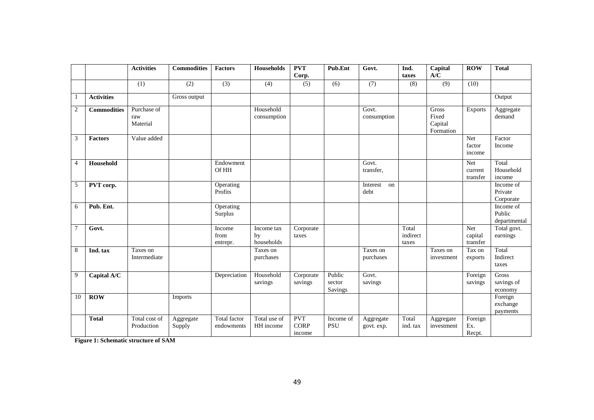|                |                    | <b>Activities</b>              | <b>Commodities</b>  | <b>Factors</b>                    | <b>Households</b>              | <b>PVT</b><br>Corp.                 | Pub.Ent                     | Govt.                   | Ind.<br>taxes              | Capital<br>A/C                                | <b>ROW</b>                     | <b>Total</b>                        |
|----------------|--------------------|--------------------------------|---------------------|-----------------------------------|--------------------------------|-------------------------------------|-----------------------------|-------------------------|----------------------------|-----------------------------------------------|--------------------------------|-------------------------------------|
|                |                    | (1)                            | (2)                 | (3)                               | (4)                            | (5)                                 | (6)                         | (7)                     | (8)                        | (9)                                           | (10)                           |                                     |
|                | <b>Activities</b>  |                                | Gross output        |                                   |                                |                                     |                             |                         |                            |                                               |                                | Output                              |
| $\mathfrak{2}$ | <b>Commodities</b> | Purchase of<br>raw<br>Material |                     |                                   | Household<br>consumption       |                                     |                             | Govt.<br>consumption    |                            | <b>Gross</b><br>Fixed<br>Capital<br>Formation | <b>Exports</b>                 | Aggregate<br>demand                 |
| 3              | <b>Factors</b>     | Value added                    |                     |                                   |                                |                                     |                             |                         |                            |                                               | <b>Net</b><br>factor<br>income | Factor<br>Income                    |
| $\overline{4}$ | Household          |                                |                     | Endowment<br>Of HH                |                                |                                     |                             | Govt.<br>transfer.      |                            |                                               | Net<br>current<br>transfer     | Total<br>Household<br>income        |
| 5              | PVT corp.          |                                |                     | Operating<br>Profits              |                                |                                     |                             | Interest<br>on<br>debt  |                            |                                               |                                | Income of<br>Private<br>Corporate   |
| 6              | Pub. Ent.          |                                |                     | Operating<br>Surplus              |                                |                                     |                             |                         |                            |                                               |                                | Income of<br>Public<br>departmental |
| $\overline{7}$ | Govt.              |                                |                     | Income<br>from<br>entrepr.        | Income tax<br>by<br>households | Corporate<br>taxes                  |                             |                         | Total<br>indirect<br>taxes |                                               | Net<br>capital<br>transfer     | Total govt.<br>earnings             |
| 8              | Ind. tax           | Taxes on<br>Intermediate       |                     |                                   | Taxes on<br>purchases          |                                     |                             | Taxes on<br>purchases   |                            | Taxes on<br>investment                        | Tax on<br>exports              | Total<br>Indirect<br>taxes          |
| 9              | Capital A/C        |                                |                     | Depreciation                      | Household<br>savings           | Corporate<br>savings                | Public<br>sector<br>Savings | Govt.<br>savings        |                            |                                               | Foreign<br>savings             | Gross<br>savings of<br>economy      |
| 10             | <b>ROW</b>         |                                | Imports             |                                   |                                |                                     |                             |                         |                            |                                               |                                | Foreign<br>exchange<br>payments     |
|                | <b>Total</b>       | Total cost of<br>Production    | Aggregate<br>Supply | <b>Total factor</b><br>endowments | Total use of<br>HH income      | <b>PVT</b><br><b>CORP</b><br>income | Income of<br><b>PSU</b>     | Aggregate<br>govt. exp. | Total<br>ind. tax          | Aggregate<br>investment                       | Foreign<br>Ex.<br>Recpt.       |                                     |

**Figure 1: Schematic structure of SAM**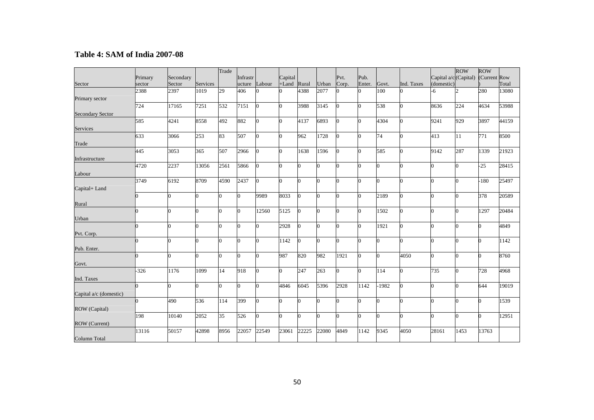### **Table 4: SAM of India 2007-08**

|                         |         |           |          | Trade        |          |                |          |                |          |                |          |          |            |                                    | <b>ROW</b>     | <b>ROW</b> |       |
|-------------------------|---------|-----------|----------|--------------|----------|----------------|----------|----------------|----------|----------------|----------|----------|------------|------------------------------------|----------------|------------|-------|
|                         | Primary | Secondary |          |              | Infrastr |                | Capital  |                |          | Pvt.           | Pub.     |          |            | Capital a/c (Capital) (Current Row |                |            |       |
| Sector                  | sector  | Sector    | Services |              | ucture   | Labour         | $+$ Land | Rural          | Urban    | Corp.          | Enter.   | Govt.    | Ind. Taxes | (domestic)                         |                |            | Total |
|                         | 2388    | 2397      | 1019     | 29           | 406      |                |          | 4388           | 2077     | $\Omega$       | $\Omega$ | 100      |            | $-6$                               | $\mathcal{D}$  | 280        | 13080 |
| Primary sector          |         |           |          |              |          |                |          |                |          |                |          |          |            |                                    |                |            |       |
|                         | 724     | 17165     | 7251     | 532          | 7151     | $\Omega$       |          | 3988           | 3145     | $\overline{0}$ | $\Omega$ | 538      | $\Omega$   | 8636                               | 224            | 4634       | 53988 |
| <b>Secondary Sector</b> |         |           |          |              |          |                |          |                |          |                |          |          |            |                                    |                |            |       |
|                         | 585     | 4241      | 8558     | 492          | 882      |                |          | 4137           | 6893     | $\overline{0}$ | $\Omega$ | 4304     | 0          | 9241                               | 929            | 3897       | 44159 |
| Services                |         |           |          |              |          |                |          |                |          |                |          |          |            |                                    |                |            |       |
|                         | 633     | 3066      | 253      | 83           | 507      |                |          | 962            | 1728     | $\overline{0}$ | $\Omega$ | 74       | 0          | 413                                | 11             | 771        | 8500  |
| Trade                   |         |           |          |              |          |                |          |                |          |                |          |          |            |                                    |                |            |       |
|                         | 445     | 3053      | 365      | 507          | 2966     | Ю              |          | 1638           | 1596     | $\overline{0}$ | $\Omega$ | 585      | $\Omega$   | 9142                               | 287            | 1339       | 21923 |
| Infrastructure          |         |           |          |              |          |                |          |                |          |                |          |          |            |                                    |                |            |       |
|                         | 4720    | 2237      | 13056    | 2561         | 5866     | $\overline{0}$ |          | $\Omega$       | $\Omega$ | $\overline{0}$ | $\Omega$ | $\Omega$ | 0          | <sup>o</sup>                       | $\overline{0}$ | $-25$      | 28415 |
|                         |         |           |          |              |          |                |          |                |          |                |          |          |            |                                    |                |            |       |
| Labour                  |         |           |          |              |          |                |          |                | $\Omega$ | $\Omega$       |          |          |            |                                    |                |            |       |
|                         | 3749    | 6192      | 8709     | 4590         | 2437     | 0              |          | $\Omega$       |          |                | $\Omega$ | 0        | $\Omega$   |                                    | $\overline{0}$ | $-180$     | 25497 |
| Capital+Land            |         |           |          |              |          |                |          |                |          |                |          |          |            |                                    |                |            |       |
|                         | l0      | O         |          | n            |          | 9989           | 8033     | $\Omega$       | ∩        | $\Omega$       | $\Omega$ | 2189     | 0          |                                    | $\Omega$       | 378        | 20589 |
| Rural                   |         |           |          |              |          |                |          |                |          |                |          |          |            |                                    |                |            |       |
|                         | l0.     | O         |          | lo           |          | 12560          | 5125     | $\overline{0}$ | 0        | $\Omega$       | 0        | 1502     | 0          |                                    | $\Omega$       | 1297       | 20484 |
| Urban                   |         |           |          |              |          |                |          |                |          |                |          |          |            |                                    |                |            |       |
|                         | lo      | 0         |          | l0           |          | <sup>o</sup>   | 2928     | $\Omega$       | 0        | $\Omega$       | $\Omega$ | 1921     | $\Omega$   |                                    | $\Omega$       |            | 4849  |
| Pvt. Corp.              |         |           |          |              |          |                |          |                |          |                |          |          |            |                                    |                |            |       |
|                         | lo      | O         |          | l0           |          | O.             | 1142     | $\overline{0}$ | $\Omega$ | $\overline{0}$ | $\Omega$ | $\Omega$ | $\Omega$   |                                    | $\Omega$       |            | 1142  |
| Pub. Enter.             |         |           |          |              |          |                |          |                |          |                |          |          |            |                                    |                |            |       |
|                         | lo      | O         |          | l0           |          | <sup>o</sup>   | 987      | 820            | 982      | 1921           | $\Omega$ | 0        | 4050       |                                    | $\Omega$       |            | 8760  |
| Govt.                   |         |           |          |              |          |                |          |                |          |                |          |          |            |                                    |                |            |       |
|                         | $-326$  | 1176      | 1099     | 14           | 918      | 0              | l0       | 247            | 263      | $\overline{0}$ | $\Omega$ | 114      | $\Omega$   | 735                                | $\Omega$       | 728        | 4968  |
| Ind. Taxes              |         |           |          |              |          |                |          |                |          |                |          |          |            |                                    |                |            |       |
|                         | l0      |           |          | <sup>0</sup> |          |                | 4846     | 6045           | 5396     | 2928           | 1142     | $-1982$  | 0          |                                    | 0              | 644        | 19019 |
| Capital a/c (domestic)  |         |           |          |              |          |                |          |                |          |                |          |          |            |                                    |                |            |       |
|                         | l0      | 490       | 536      | 114          | 399      |                |          | $\Omega$       | $\Omega$ | $\Omega$       | 0        |          | 0          |                                    | $\Omega$       |            | 1539  |
|                         |         |           |          |              |          |                |          |                |          |                |          |          |            |                                    |                |            |       |
| ROW (Capital)           | 198     | 10140     | 2052     | 35           |          |                |          |                | 0        | $\Omega$       |          |          | 0          |                                    | $\Omega$       |            |       |
|                         |         |           |          |              | 526      | 0              |          | $\Omega$       |          |                | $\Omega$ | $\Omega$ |            |                                    |                |            | 12951 |
| ROW (Current)           |         |           |          |              |          |                |          |                |          |                |          |          |            |                                    |                |            |       |
|                         | 13116   | 50157     | 42898    | 8956         | 22057    | 22549          | 23061    | 22225          | 22080    | 4849           | 1142     | 9345     | 4050       | 28161                              | 1453           | 13763      |       |
| Column Total            |         |           |          |              |          |                |          |                |          |                |          |          |            |                                    |                |            |       |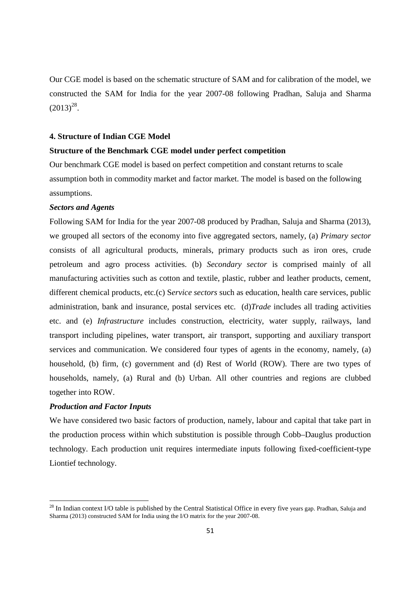Our CGE model is based on the schematic structure of SAM and for calibration of the model, we constructed the SAM for India for the year 2007-08 following Pradhan, Saluja and Sharma  $(2013)^{28}$ .

#### **4. Structure of Indian CGE Model**

#### **Structure of the Benchmark CGE model under perfect competition**

Our benchmark CGE model is based on perfect competition and constant returns to scale assumption both in commodity market and factor market. The model is based on the following assumptions.

#### *Sectors and Agents*

Following SAM for India for the year 2007-08 produced by Pradhan, Saluja and Sharma (2013), we grouped all sectors of the economy into five aggregated sectors, namely, (a) *Primary sector*  consists of all agricultural products, minerals, primary products such as iron ores, crude petroleum and agro process activities. (b) *Secondary sector* is comprised mainly of all manufacturing activities such as cotton and textile, plastic, rubber and leather products, cement, different chemical products, etc.(c) S*ervice sectors* such as education, health care services, public administration, bank and insurance, postal services etc. (d)*Trade* includes all trading activities etc. and (e) *Infrastructure* includes construction, electricity, water supply, railways, land transport including pipelines, water transport, air transport, supporting and auxiliary transport services and communication. We considered four types of agents in the economy, namely, (a) household, (b) firm, (c) government and (d) Rest of World (ROW). There are two types of households, namely, (a) Rural and (b) Urban. All other countries and regions are clubbed together into ROW.

#### *Production and Factor Inputs*

<u>.</u>

We have considered two basic factors of production, namely, labour and capital that take part in the production process within which substitution is possible through Cobb–Dauglus production technology. Each production unit requires intermediate inputs following fixed-coefficient-type Liontief technology.

<sup>&</sup>lt;sup>28</sup> In Indian context I/O table is published by the Central Statistical Office in every five years gap. Pradhan, Saluja and Sharma (2013) constructed SAM for India using the I/O matrix for the year 2007-08.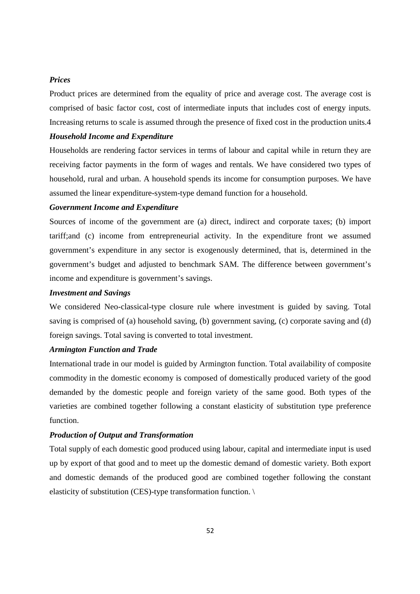#### *Prices*

Product prices are determined from the equality of price and average cost. The average cost is comprised of basic factor cost, cost of intermediate inputs that includes cost of energy inputs. Increasing returns to scale is assumed through the presence of fixed cost in the production units.4

#### *Household Income and Expenditure*

Households are rendering factor services in terms of labour and capital while in return they are receiving factor payments in the form of wages and rentals. We have considered two types of household, rural and urban. A household spends its income for consumption purposes. We have assumed the linear expenditure-system-type demand function for a household.

#### *Government Income and Expenditure*

Sources of income of the government are (a) direct, indirect and corporate taxes; (b) import tariff;and (c) income from entrepreneurial activity. In the expenditure front we assumed government's expenditure in any sector is exogenously determined, that is, determined in the government's budget and adjusted to benchmark SAM. The difference between government's income and expenditure is government's savings.

#### *Investment and Savings*

We considered Neo-classical-type closure rule where investment is guided by saving. Total saving is comprised of (a) household saving, (b) government saving, (c) corporate saving and (d) foreign savings. Total saving is converted to total investment.

#### *Armington Function and Trade*

International trade in our model is guided by Armington function. Total availability of composite commodity in the domestic economy is composed of domestically produced variety of the good demanded by the domestic people and foreign variety of the same good. Both types of the varieties are combined together following a constant elasticity of substitution type preference function.

#### *Production of Output and Transformation*

Total supply of each domestic good produced using labour, capital and intermediate input is used up by export of that good and to meet up the domestic demand of domestic variety. Both export and domestic demands of the produced good are combined together following the constant elasticity of substitution (CES)-type transformation function. \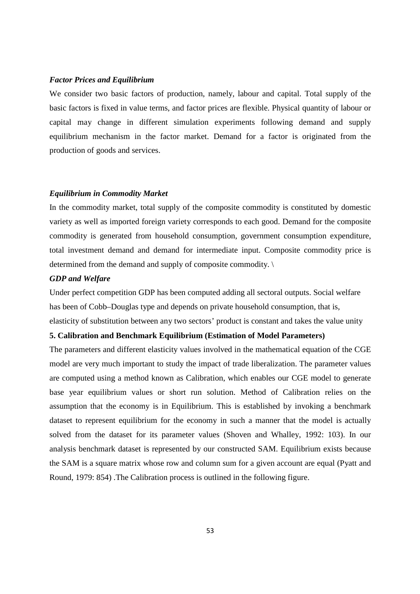#### *Factor Prices and Equilibrium*

We consider two basic factors of production, namely, labour and capital. Total supply of the basic factors is fixed in value terms, and factor prices are flexible. Physical quantity of labour or capital may change in different simulation experiments following demand and supply equilibrium mechanism in the factor market. Demand for a factor is originated from the production of goods and services.

#### *Equilibrium in Commodity Market*

In the commodity market, total supply of the composite commodity is constituted by domestic variety as well as imported foreign variety corresponds to each good. Demand for the composite commodity is generated from household consumption, government consumption expenditure, total investment demand and demand for intermediate input. Composite commodity price is determined from the demand and supply of composite commodity. \

#### *GDP and Welfare*

Under perfect competition GDP has been computed adding all sectoral outputs. Social welfare has been of Cobb–Douglas type and depends on private household consumption, that is, elasticity of substitution between any two sectors' product is constant and takes the value unity

#### **5. Calibration and Benchmark Equilibrium (Estimation of Model Parameters)**

The parameters and different elasticity values involved in the mathematical equation of the CGE model are very much important to study the impact of trade liberalization. The parameter values are computed using a method known as Calibration, which enables our CGE model to generate base year equilibrium values or short run solution. Method of Calibration relies on the assumption that the economy is in Equilibrium. This is established by invoking a benchmark dataset to represent equilibrium for the economy in such a manner that the model is actually solved from the dataset for its parameter values (Shoven and Whalley, 1992: 103). In our analysis benchmark dataset is represented by our constructed SAM. Equilibrium exists because the SAM is a square matrix whose row and column sum for a given account are equal (Pyatt and Round, 1979: 854) .The Calibration process is outlined in the following figure.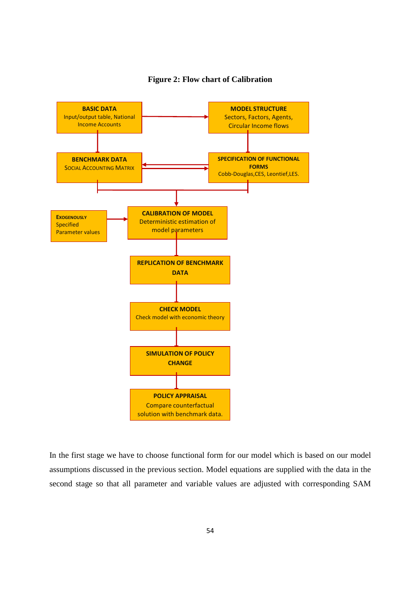

**Figure 2: Flow chart of Calibration** 

In the first stage we have to choose functional form for our model which is based on our model assumptions discussed in the previous section. Model equations are supplied with the data in the second stage so that all parameter and variable values are adjusted with corresponding SAM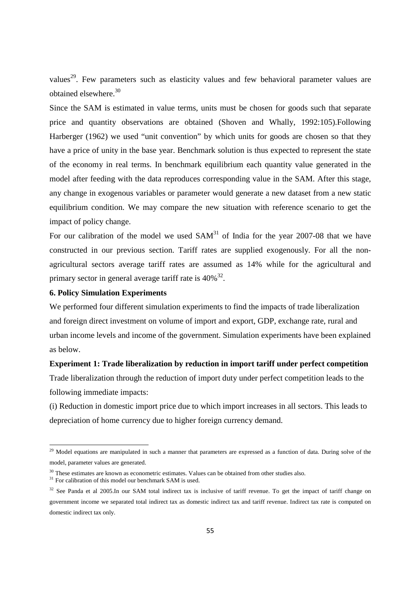values<sup>29</sup>. Few parameters such as elasticity values and few behavioral parameter values are obtained elsewhere.<sup>30</sup>

Since the SAM is estimated in value terms, units must be chosen for goods such that separate price and quantity observations are obtained (Shoven and Whally, 1992:105).Following Harberger (1962) we used "unit convention" by which units for goods are chosen so that they have a price of unity in the base year. Benchmark solution is thus expected to represent the state of the economy in real terms. In benchmark equilibrium each quantity value generated in the model after feeding with the data reproduces corresponding value in the SAM. After this stage, any change in exogenous variables or parameter would generate a new dataset from a new static equilibrium condition. We may compare the new situation with reference scenario to get the impact of policy change.

For our calibration of the model we used  $SAM<sup>31</sup>$  of India for the year 2007-08 that we have constructed in our previous section. Tariff rates are supplied exogenously. For all the nonagricultural sectors average tariff rates are assumed as 14% while for the agricultural and primary sector in general average tariff rate is  $40\%^{32}$ .

#### **6. Policy Simulation Experiments**

We performed four different simulation experiments to find the impacts of trade liberalization and foreign direct investment on volume of import and export, GDP, exchange rate, rural and urban income levels and income of the government. Simulation experiments have been explained as below.

## **Experiment 1: Trade liberalization by reduction in import tariff under perfect competition**

Trade liberalization through the reduction of import duty under perfect competition leads to the following immediate impacts:

(i) Reduction in domestic import price due to which import increases in all sectors. This leads to depreciation of home currency due to higher foreign currency demand.

<u>.</u>

<sup>&</sup>lt;sup>29</sup> Model equations are manipulated in such a manner that parameters are expressed as a function of data. During solve of the model, parameter values are generated.

<sup>&</sup>lt;sup>30</sup> These estimates are known as econometric estimates. Values can be obtained from other studies also.

<sup>&</sup>lt;sup>31</sup> For calibration of this model our benchmark SAM is used.

<sup>&</sup>lt;sup>32</sup> See Panda et al 2005.In our SAM total indirect tax is inclusive of tariff revenue. To get the impact of tariff change on government income we separated total indirect tax as domestic indirect tax and tariff revenue. Indirect tax rate is computed on domestic indirect tax only.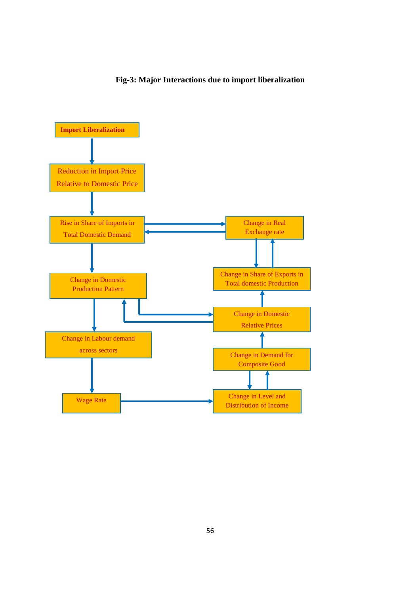### **Fig-3: Major Interactions due to import liberalization**

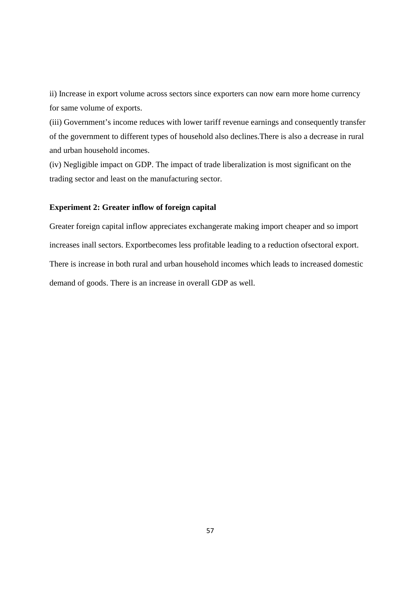ii) Increase in export volume across sectors since exporters can now earn more home currency for same volume of exports.

(iii) Government's income reduces with lower tariff revenue earnings and consequently transfer of the government to different types of household also declines.There is also a decrease in rural and urban household incomes.

(iv) Negligible impact on GDP. The impact of trade liberalization is most significant on the trading sector and least on the manufacturing sector.

### **Experiment 2: Greater inflow of foreign capital**

Greater foreign capital inflow appreciates exchangerate making import cheaper and so import increases inall sectors. Exportbecomes less profitable leading to a reduction ofsectoral export. There is increase in both rural and urban household incomes which leads to increased domestic demand of goods. There is an increase in overall GDP as well.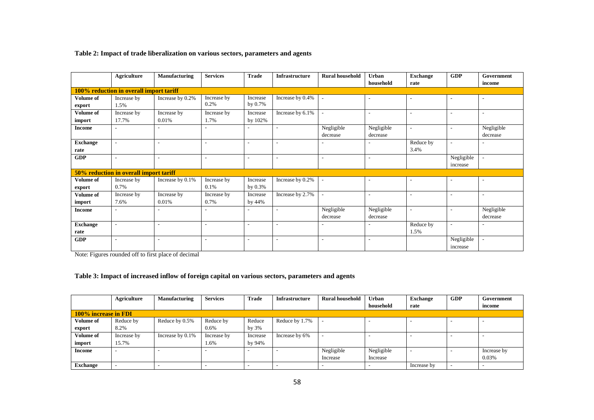#### **Table 2: Impact of trade liberalization on various sectors, parameters and agents**

|                  | <b>Agriculture</b>                      | Manufacturing            | <b>Services</b>          | <b>Trade</b>             | <b>Infrastructure</b>    | <b>Rural household</b>   | Urban                    | <b>Exchange</b>          | <b>GDP</b>               | Government               |
|------------------|-----------------------------------------|--------------------------|--------------------------|--------------------------|--------------------------|--------------------------|--------------------------|--------------------------|--------------------------|--------------------------|
|                  |                                         |                          |                          |                          |                          |                          | household                | rate                     |                          | income                   |
|                  | 100% reduction in overall import tariff |                          |                          |                          |                          |                          |                          |                          |                          |                          |
| <b>Volume of</b> | Increase by                             | Increase by 0.2%         | Increase by              | Increase                 | Increase by 0.4%         |                          | $\overline{\phantom{a}}$ | $\overline{\phantom{0}}$ |                          |                          |
| export           | 1.5%                                    |                          | 0.2%                     | by $0.7\%$               |                          |                          |                          |                          |                          |                          |
| Volume of        | Increase by                             | Increase by              | Increase by              | Increase                 | Increase by 6.1%         |                          | $\overline{\phantom{a}}$ | $\overline{\phantom{a}}$ |                          |                          |
| import           | 17.7%                                   | 0.01%                    | 1.7%                     | by 102%                  |                          |                          |                          |                          |                          |                          |
| <b>Income</b>    | $\overline{\phantom{a}}$                | $\overline{\phantom{a}}$ |                          | $\overline{\phantom{a}}$ | $\overline{\phantom{a}}$ | Negligible               | Negligible               | $\sim$                   |                          | Negligible               |
|                  |                                         |                          |                          |                          |                          | decrease                 | decrease                 |                          |                          | decrease                 |
| <b>Exchange</b>  | $\overline{\phantom{a}}$                | $\overline{\phantom{a}}$ | $\overline{\phantom{a}}$ | $\overline{\phantom{a}}$ | $\overline{\phantom{a}}$ |                          | $\overline{\phantom{a}}$ | Reduce by                | $\overline{\phantom{a}}$ |                          |
| rate             |                                         |                          |                          |                          |                          |                          |                          | 3.4%                     |                          |                          |
| <b>GDP</b>       | $\overline{\phantom{a}}$                | $\overline{\phantom{a}}$ | $\overline{\phantom{a}}$ | $\overline{\phantom{a}}$ | $\overline{\phantom{a}}$ | $\overline{\phantom{a}}$ | $\overline{\phantom{a}}$ |                          | Negligible               | $\overline{\phantom{a}}$ |
|                  |                                         |                          |                          |                          |                          |                          |                          |                          | increase                 |                          |
|                  | 50% reduction in overall import tariff  |                          |                          |                          |                          |                          |                          |                          |                          |                          |
| <b>Volume of</b> | Increase by                             | Increase by 0.1%         | Increase by              | Increase                 | Increase by 0.2%         | $\overline{\phantom{a}}$ | $\overline{\phantom{a}}$ | $\overline{\phantom{0}}$ | $\overline{\phantom{a}}$ |                          |
| export           | 0.7%                                    |                          | 0.1%                     | by $0.3\%$               |                          |                          |                          |                          |                          |                          |
| Volume of        | Increase by                             | Increase by              | Increase by              | Increase                 | Increase by 2.7%         |                          | $\overline{\phantom{a}}$ | $\overline{\phantom{a}}$ | $\overline{\phantom{a}}$ | $\overline{\phantom{a}}$ |
| import           | 7.6%                                    | 0.01%                    | 0.7%                     | by 44%                   |                          |                          |                          |                          |                          |                          |
| <b>Income</b>    | $\overline{a}$                          |                          |                          | $\overline{\phantom{a}}$ |                          | Negligible               | Negligible               | $\overline{\phantom{a}}$ | $\overline{\phantom{a}}$ | Negligible               |
|                  |                                         |                          |                          |                          |                          | decrease                 | decrease                 |                          |                          | decrease                 |
| <b>Exchange</b>  | $\overline{\phantom{a}}$                |                          |                          | $\overline{\phantom{a}}$ |                          |                          |                          | Reduce by                | $\overline{\phantom{a}}$ |                          |
| rate             |                                         |                          |                          |                          |                          |                          |                          | 1.5%                     |                          |                          |
| <b>GDP</b>       | $\overline{\phantom{a}}$                | $\overline{\phantom{a}}$ |                          | $\overline{\phantom{a}}$ | $\overline{\phantom{a}}$ | $\overline{\phantom{a}}$ | $\overline{\phantom{a}}$ |                          | Negligible               | $\overline{\phantom{a}}$ |
|                  |                                         |                          |                          |                          |                          |                          |                          |                          | increase                 |                          |

Note: Figures rounded off to first place of decimal

#### **Table 3: Impact of increased inflow of foreign capital on various sectors, parameters and agents**

|                      | Agriculture | Manufacturing    | <b>Services</b> | <b>Trade</b> | <b>Infrastructure</b> | <b>Rural household</b> | <b>Urban</b>             | <b>Exchange</b> | <b>GDP</b> | Government  |
|----------------------|-------------|------------------|-----------------|--------------|-----------------------|------------------------|--------------------------|-----------------|------------|-------------|
|                      |             |                  |                 |              |                       |                        | household                | rate            |            | income      |
| 100% increase in FDI |             |                  |                 |              |                       |                        |                          |                 |            |             |
| <b>Volume of</b>     | Reduce by   | Reduce by 0.5%   | Reduce by       | Reduce       | Reduce by 1.7%        |                        |                          |                 |            |             |
| export               | 8.2%        |                  | 0.6%            | by $3\%$     |                       |                        |                          |                 |            |             |
| Volume of            | Increase by | Increase by 0.1% | Increase by     | Increase     | Increase by 6%        |                        | $\overline{\phantom{0}}$ |                 |            |             |
| import               | 15.7%       |                  | 1.6%            | by 94%       |                       |                        |                          |                 |            |             |
| Income               | -           |                  |                 |              |                       | Negligible             | Negligible               |                 |            | Increase by |
|                      |             |                  |                 |              |                       | Increase               | Increase                 |                 |            | 0.03%       |
| <b>Exchange</b>      |             |                  |                 |              |                       |                        |                          | Increase by     |            |             |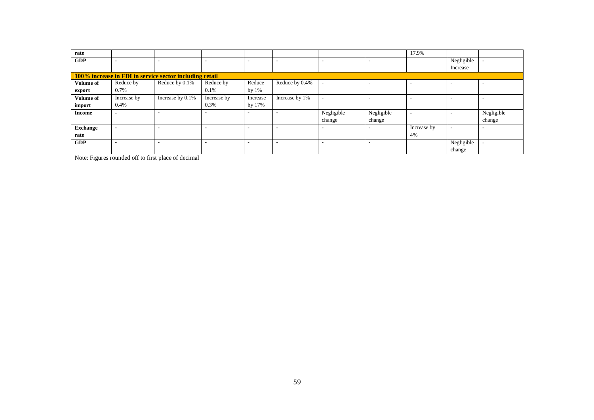| rate                                                    |                          |                          |                          |                          |                |                          |                          | 17.9%                    |                          |            |
|---------------------------------------------------------|--------------------------|--------------------------|--------------------------|--------------------------|----------------|--------------------------|--------------------------|--------------------------|--------------------------|------------|
| <b>GDP</b>                                              | $\overline{\phantom{a}}$ | -                        | -                        | ۰                        |                | $\overline{\phantom{0}}$ | ۰                        |                          | Negligible               |            |
|                                                         |                          |                          |                          |                          |                |                          |                          |                          | Increase                 |            |
| 100% increase in FDI in service sector including retail |                          |                          |                          |                          |                |                          |                          |                          |                          |            |
| Volume of                                               | Reduce by                | Reduce by 0.1%           | Reduce by                | Reduce                   | Reduce by 0.4% |                          | ۰                        |                          |                          | -          |
| export                                                  | 0.7%                     |                          | 0.1%                     | by $1\%$                 |                |                          |                          |                          |                          |            |
| Volume of                                               | Increase by              | Increase by 0.1%         | Increase by              | Increase                 | Increase by 1% |                          | -                        |                          |                          |            |
| import                                                  | 0.4%                     |                          | 0.3%                     | by 17%                   |                |                          |                          |                          |                          |            |
| <b>Income</b>                                           | $\overline{\phantom{0}}$ | ٠                        |                          |                          |                | Negligible               | Negligible               | $\overline{\phantom{a}}$ |                          | Negligible |
|                                                         |                          |                          |                          |                          |                | change                   | change                   |                          |                          | change     |
| <b>Exchange</b>                                         | $\overline{\phantom{a}}$ | $\overline{\phantom{a}}$ | $\overline{\phantom{a}}$ | $\overline{\phantom{a}}$ | ۰              | $\overline{\phantom{0}}$ | $\overline{\phantom{a}}$ | Increase by              | $\overline{\phantom{a}}$ |            |
| rate                                                    |                          |                          |                          |                          |                |                          |                          | 4%                       |                          |            |
| <b>GDP</b>                                              | $\overline{\phantom{a}}$ | ۰                        | -                        | ۰                        |                | -                        | ۰                        |                          | Negligible               |            |
|                                                         |                          |                          |                          |                          |                |                          |                          |                          | change                   |            |

Note: Figures rounded off to first place of decimal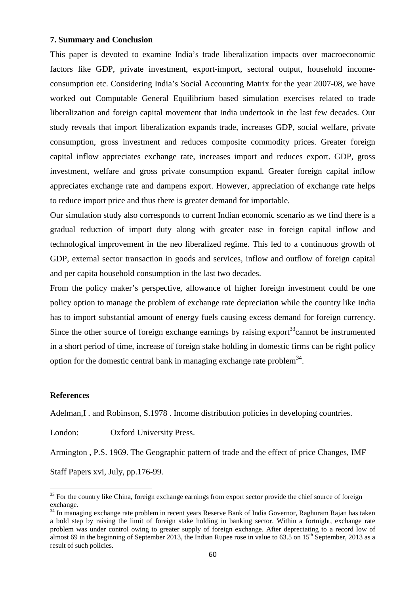#### **7. Summary and Conclusion**

This paper is devoted to examine India's trade liberalization impacts over macroeconomic factors like GDP, private investment, export-import, sectoral output, household incomeconsumption etc. Considering India's Social Accounting Matrix for the year 2007-08, we have worked out Computable General Equilibrium based simulation exercises related to trade liberalization and foreign capital movement that India undertook in the last few decades. Our study reveals that import liberalization expands trade, increases GDP, social welfare, private consumption, gross investment and reduces composite commodity prices. Greater foreign capital inflow appreciates exchange rate, increases import and reduces export. GDP, gross investment, welfare and gross private consumption expand. Greater foreign capital inflow appreciates exchange rate and dampens export. However, appreciation of exchange rate helps to reduce import price and thus there is greater demand for importable.

Our simulation study also corresponds to current Indian economic scenario as we find there is a gradual reduction of import duty along with greater ease in foreign capital inflow and technological improvement in the neo liberalized regime. This led to a continuous growth of GDP, external sector transaction in goods and services, inflow and outflow of foreign capital and per capita household consumption in the last two decades.

From the policy maker's perspective, allowance of higher foreign investment could be one policy option to manage the problem of exchange rate depreciation while the country like India has to import substantial amount of energy fuels causing excess demand for foreign currency. Since the other source of foreign exchange earnings by raising export<sup>33</sup>cannot be instrumented in a short period of time, increase of foreign stake holding in domestic firms can be right policy option for the domestic central bank in managing exchange rate problem<sup>34</sup>.

#### **References**

 $\overline{\phantom{0}}$ 

Adelman, I . and Robinson, S.1978 . Income distribution policies in developing countries.

London: Oxford University Press.

Armington , P.S. 1969. The Geographic pattern of trade and the effect of price Changes, IMF Staff Papers xvi, July, pp.176-99.

<sup>&</sup>lt;sup>33</sup> For the country like China, foreign exchange earnings from export sector provide the chief source of foreign exchange.

<sup>&</sup>lt;sup>34</sup> In managing exchange rate problem in recent years Reserve Bank of India Governor, Raghuram Rajan has taken a bold step by raising the limit of foreign stake holding in banking sector. Within a fortnight, exchange rate problem was under control owing to greater supply of foreign exchange. After depreciating to a record low of almost 69 in the beginning of September 2013, the Indian Rupee rose in value to 63.5 on  $15^{th}$  September, 2013 as a result of such policies.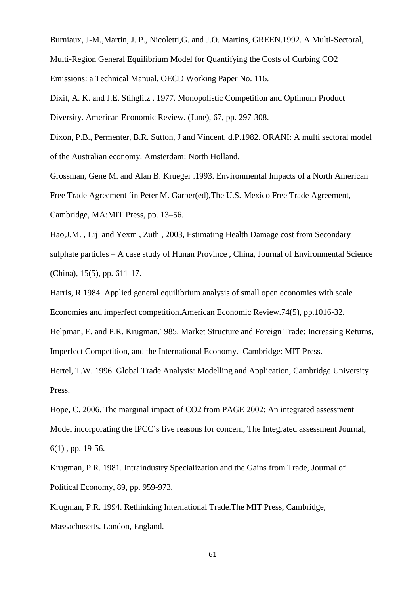Burniaux, J-M.,Martin, J. P., Nicoletti,G. and J.O. Martins, GREEN.1992. A Multi-Sectoral, Multi-Region General Equilibrium Model for Quantifying the Costs of Curbing CO2 Emissions: a Technical Manual, OECD Working Paper No. 116.

Dixit, A. K. and J.E. Stihglitz . 1977. Monopolistic Competition and Optimum Product Diversity. American Economic Review. (June), 67, pp. 297-308.

Dixon, P.B., Permenter, B.R. Sutton, J and Vincent, d.P.1982. ORANI: A multi sectoral model of the Australian economy. Amsterdam: North Holland.

Grossman, Gene M. and Alan B. Krueger .1993. Environmental Impacts of a North American Free Trade Agreement 'in Peter M. Garber(ed),The U.S.-Mexico Free Trade Agreement, Cambridge, MA:MIT Press, pp. 13–56.

Hao,J.M. , Lij and Yexm , Zuth , 2003, Estimating Health Damage cost from Secondary sulphate particles – A case study of Hunan Province , China, Journal of Environmental Science (China), 15(5), pp. 611-17.

Harris, R.1984. Applied general equilibrium analysis of small open economies with scale Economies and imperfect competition.American Economic Review.74(5), pp.1016-32.

Helpman, E. and P.R. Krugman.1985. Market Structure and Foreign Trade: Increasing Returns, Imperfect Competition, and the International Economy. Cambridge: MIT Press.

Hertel, T.W. 1996. Global Trade Analysis: Modelling and Application, Cambridge University Press.

Hope, C. 2006. The marginal impact of CO2 from PAGE 2002: An integrated assessment Model incorporating the IPCC's five reasons for concern, The Integrated assessment Journal, 6(1) , pp. 19-56.

Krugman, P.R. 1981. Intraindustry Specialization and the Gains from Trade, Journal of Political Economy, 89, pp. 959-973.

Krugman, P.R. 1994. Rethinking International Trade.The MIT Press, Cambridge, Massachusetts. London, England.

61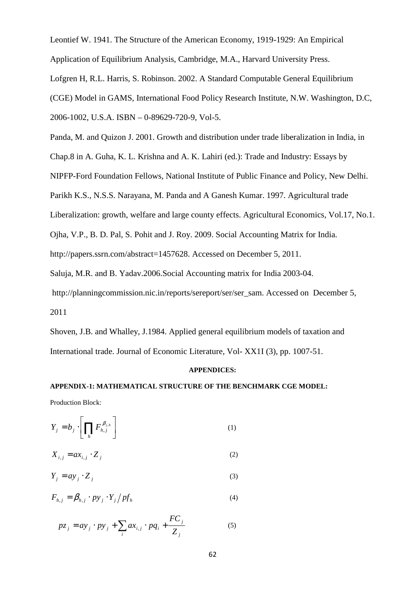Leontief W. 1941. The Structure of the American Economy, 1919-1929: An Empirical

Application of Equilibrium Analysis, Cambridge, M.A., Harvard University Press.

Lofgren H, R.L. Harris, S. Robinson. 2002. A Standard Computable General Equilibrium

(CGE) Model in GAMS, International Food Policy Research Institute, N.W. Washington, D.C,

2006-1002, U.S.A. ISBN – 0-89629-720-9, Vol-5.

Panda, M. and Quizon J. 2001. Growth and distribution under trade liberalization in India, in

Chap.8 in A. Guha, K. L. Krishna and A. K. Lahiri (ed.): Trade and Industry: Essays by

NIPFP-Ford Foundation Fellows, National Institute of Public Finance and Policy, New Delhi.

Parikh K.S., N.S.S. Narayana, M. Panda and A Ganesh Kumar. 1997. Agricultural trade

Liberalization: growth, welfare and large county effects. Agricultural Economics, Vol.17, No.1.

Ojha, V.P., B. D. Pal, S. Pohit and J. Roy. 2009. Social Accounting Matrix for India.

http://papers.ssrn.com/abstract=1457628. Accessed on December 5, 2011.

Saluja, M.R. and B. Yadav.2006.Social Accounting matrix for India 2003-04.

http://planningcommission.nic.in/reports/sereport/ser/ser\_sam. Accessed on December 5, 2011

Shoven, J.B. and Whalley, J.1984. Applied general equilibrium models of taxation and International trade. Journal of Economic Literature, Vol- XX1I (3), pp. 1007-51.

#### **APPENDICES:**

### **APPENDIX-1: MATHEMATICAL STRUCTURE OF THE BENCHMARK CGE MODEL:**

Production Block:

$$
Y_j = b_j \cdot \left[ \prod_h F_{h,j}^{\beta_{j,h}} \right] \tag{1}
$$

$$
X_{i,j} = ax_{i,j} \cdot Z_j \tag{2}
$$

$$
Y_j = ay_j \cdot Z_j \tag{3}
$$

$$
F_{h,j} = \beta_{h,j} \cdot py_j \cdot Y_j / pf_h \tag{4}
$$

$$
pz_j = ay_j \cdot py_j + \sum_i ax_{i,j} \cdot pq_i + \frac{FC_j}{Z_j}
$$
 (5)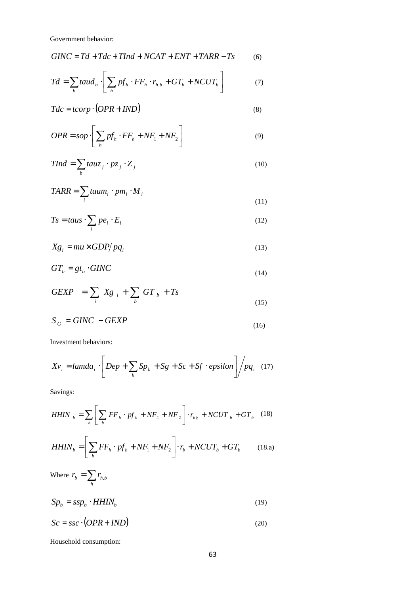Government behavior:

$$
GINC = Td + Tdc + TInd + NCAT + ENT + TARR - Ts \tag{6}
$$

$$
Td = \sum_{b} taud_b \cdot \left[ \sum_{h} pf_h \cdot FF_h \cdot r_{h,b} + GT_b + NCUT_b \right] \tag{7}
$$

$$
Tdc = tcorp \cdot (OPR + IND)
$$
\n(8)

$$
OPR = sop \cdot \left[ \sum_{h} pf_{h} \cdot FF_{h} + NF_{1} + NF_{2} \right]
$$
 (9)

$$
TInd = \sum_{b} tauz_j \cdot pz_j \cdot Z_j \tag{10}
$$

$$
TARR = \sum_{i} taum_i \cdot pm_i \cdot M_i
$$
\n(11)

$$
Ts = taus \cdot \sum_{i} pe_i \cdot E_i
$$
 (12)

$$
Xg_i = mu \times GDP/pq_i \tag{13}
$$

$$
GT_b = gt_b \cdot GINC \tag{14}
$$

$$
GEXP = \sum_{i} Xg_{i} + \sum_{b} GT_{b} + Ts
$$
\n(15)

$$
S_G = GINC - GEXP \tag{16}
$$

Investment behaviors:

$$
Xv_i = lambda_i \cdot \left[Dep + \sum_b Sp_b + Sg + Sc + Sf \cdot epsilon \right] / pq_i \quad (17)
$$

Savings:

*HHIN* 
$$
_{b} = \sum_{h} \left[ \sum_{h} FF_{h} \cdot pf_{h} + NF_{1} + NF_{2} \right] \cdot r_{h} + NCUT_{b} + GT_{b}
$$
 (18)

$$
HHIN_b = \left[\sum_h FF_h \cdot pf_h + NF_1 + NF_2\right] \cdot r_b + NCUT_b + GT_b \tag{18.1}
$$

Where 
$$
r_b = \sum_h r_{h,b}
$$
  
\n
$$
Sp_b = ssp_b \cdot HHIN_b \tag{19}
$$

$$
Sc = ssc \cdot (OPR + IND)
$$
 (20)

Household consumption: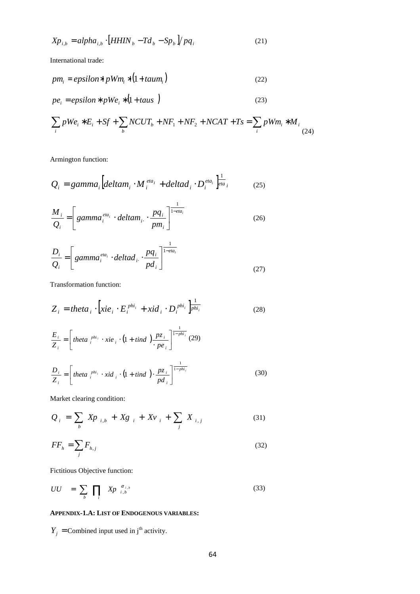$$
Xp_{i,b} = alpha_{i,b} \cdot \left[HHIN_b - Td_b - Sp_b\right] / pq_i \tag{21}
$$

International trade:

$$
pm_i = epsilon * pWm_i * (1 + taum_i)
$$
\n(22)

$$
pe_i = epsilon * pWe_i * (1 + taus)
$$
\n(23)

$$
\sum_{i} pWe_{i} * E_{i} + Sf + \sum_{b} NCUT_{b} + NF_{1} + NF_{2} + NCAT + Ts = \sum_{i} pWm_{i} * M_{i}
$$
\n(24)

Armington function:

$$
Q_i = gamma_i \left[ \text{deltam}_i \cdot M_i^{\text{eta}_i} + \text{deltad}_i \cdot D_i^{\text{eta}_i} \right]_{\text{eta}_i}^{\text{1}} \tag{25}
$$

$$
\frac{M_i}{Q_i} = \left[ gamma_i^{eta_i} \cdot deltam_i \cdot \frac{pq_i}{pm_i} \right]^{1 - eta_i}
$$
\n(26)

$$
\frac{D_i}{Q_i} = \left[ gamma_i^{eta_i} \cdot delta d_i \cdot \frac{pq_i}{pd_i} \right]^{1 - eta_i}
$$
\n(27)

Transformation function:

$$
Z_i = theta_i \cdot \left[xie_i \cdot E_i^{phi_i} + xid_i \cdot D_i^{phi_i}\right]_{phi_i}^{\frac{1}{phi_i}}
$$
 (28)

$$
\frac{E_i}{Z_i} = \left[ \text{theta } i^{phi_i} \cdot \text{tie } i \cdot (1 + \text{tind}) \frac{pz_i}{\cdot pe_i} \right]^{\frac{1}{1 - \text{phi}_i}} (29)
$$
\n
$$
\frac{D_i}{Z_i} = \left[ \text{theta } i^{phi_i} \cdot \text{xid } i \cdot (1 + \text{tind}) \cdot \frac{pz_i}{pd_i} \right]^{\frac{1}{1 - \text{phi}_i}} (30)
$$

Market clearing condition:

$$
Q_{i} = \sum_{b} X p_{i,b} + X g_{i} + X v_{i} + \sum_{j} X_{i,j}
$$
 (31)

$$
FF_h = \sum_j F_{h,j} \tag{32}
$$

Fictitious Objective function:

$$
UU = \sum_{b} \prod_{i} \left| X p \right|_{i,b}^{\alpha_{i,b}} \tag{33}
$$

#### **APPENDIX-1.A: LIST OF ENDOGENOUS VARIABLES:**

 $Y_j$  = Combined input used in j<sup>th</sup> activity.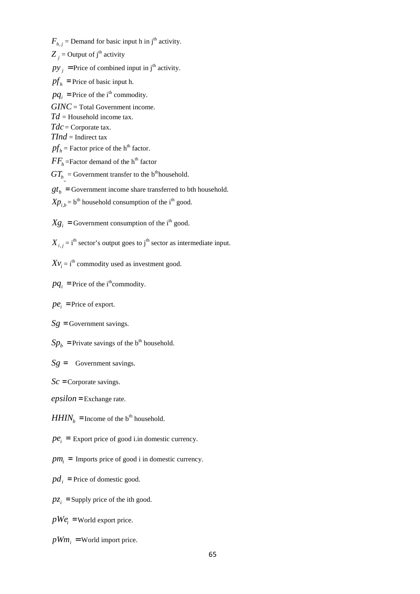$F_{h,j}$  = Demand for basic input h in j<sup>th</sup> activity.  $Z_j$  = Output of  $j<sup>th</sup>$  activity  $py_i$  = Price of combined input in j<sup>th</sup> activity.  $pf<sub>h</sub>$  = Price of basic input h.

 $pq_i$  = Price of the i<sup>th</sup> commodity.

*GINC* = Total Government income.

*Td* = Household income tax.

*Tdc* = Corporate tax.

*TInd* = Indirect tax

 $pf<sub>h</sub>$  = Factor price of the h<sup>th</sup> factor.

 $FF_h$ =Factor demand of the h<sup>th</sup> factor

 $GT_b$  = Government transfer to the b<sup>th</sup>household.

 $gt_b =$  Government income share transferred to bth household.

 $Xp_{i,b} = b^{\text{th}}$  household consumption of the i<sup>th</sup> good.

 $Xg_i$  = Government consumption of the i<sup>th</sup> good.

 $X_{i,j} = i$ <sup>th</sup> sector's output goes to j<sup>th</sup> sector as intermediate input.

 $Xv_i = i$ <sup>th</sup> commodity used as investment good.

 $pq_i$  = Price of the i<sup>th</sup>commodity.

 $pe_i$  = Price of export.

 $Sg =$  Government savings.

 $Sp<sub>b</sub>$  = Private savings of the b<sup>th</sup> household.

*Sg* = Government savings.

*Sc* =Corporate savings.

*epsilon* = Exchange rate.

 $HHIN<sub>b</sub>$  =Income of the b<sup>th</sup> household.

 $pe_i$  = Export price of good i.in domestic currency.

 $pm<sub>i</sub>$  = Imports price of good *i* in domestic currency.

 $pd<sub>i</sub>$  = Price of domestic good.

 $pz_i$  = Supply price of the ith good.

 $pWe_i$  =World export price.

 $pWm_i$  = World import price.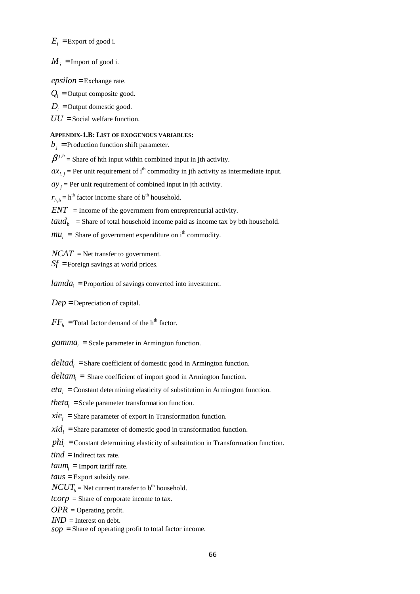$E_i$  =Export of good i.

 $M_i$  = Import of good i.

*epsilon* = Exchange rate.

 $Q_i$  = Output composite good.

 $D_i$  = Output domestic good.

 $UU =$ Social welfare function.

#### **APPENDIX-1.B: LIST OF EXOGENOUS VARIABLES:**

 $b_i$  = Production function shift parameter.

 $\beta^{j,h}$  = Share of hth input within combined input in jth activity.

 $ax_{i,j}$  = Per unit requirement of i<sup>th</sup> commodity in jth activity as intermediate input.

 $ay_j$  = Per unit requirement of combined input in jth activity.

 $r_{h,b}$  = h<sup>th</sup> factor income share of b<sup>th</sup> household.

 $ENT =$  Income of the government from entrepreneurial activity.

 $taud_b$  = Share of total household income paid as income tax by bth household.

 $mu_i$  = Share of government expenditure on i<sup>th</sup> commodity.

 $NCAT =$  Net transfer to government. *Sf* = Foreign savings at world prices.

*lamda*<sub>*i*</sub> = Proportion of savings converted into investment.

*Dep* = Depreciation of capital.

 $FF<sub>h</sub>$  = Total factor demand of the h<sup>th</sup> factor.

 $gamma_i$  = Scale parameter in Armington function.

*deltad<sup>i</sup>* = Share coefficient of domestic good in Armington function.

*deltam<sup>i</sup>* = Share coefficient of import good in Armington function.

 $eta_i$  = Constant determining elasticity of substitution in Armington function.

*theta<sup>i</sup>* = Scale parameter transformation function.

 $\dot{x}ie_i$  = Share parameter of export in Transformation function.

 $xid_i$  =Share parameter of domestic good in transformation function.

 $phi_i$  = Constant determining elasticity of substitution in Transformation function.

*tind* = Indirect tax rate.

 $t a u m_i$  = Import tariff rate.

*taus* = Export subsidy rate.

 $NCUT_b$  = Net current transfer to b<sup>th</sup> household.

*tcorp* = Share of corporate income to tax.

*OPR* = Operating profit.

*IND* = Interest on debt.

*sop* = Share of operating profit to total factor income.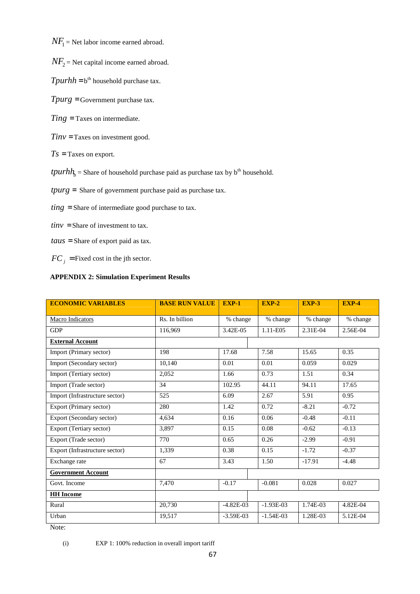$NF_1$  = Net labor income earned abroad.

- $NF_2$  = Net capital income earned abroad.
- $T$ *purhh* =  $b$ <sup>th</sup> household purchase tax.
- *Tpurg* = Government purchase tax.
- *Ting* = Taxes on intermediate.
- *Tinv* =Taxes on investment good.
- $Ts = Taxes$  on export.
- $tpunkt_h =$  Share of household purchase paid as purchase tax by  $b<sup>th</sup>$  household.
- *tpurg* = Share of government purchase paid as purchase tax.
- *ting* = Share of intermediate good purchase to tax.
- $tinv =$ Share of investment to tax.
- *taus* = Share of export paid as tax.
- $FC_i$  = Fixed cost in the jth sector.

#### **APPENDIX 2: Simulation Experiment Results**

| <b>ECONOMIC VARIABLES</b>      | <b>BASE RUN VALUE</b> | <b>EXP-1</b> | <b>EXP-2</b>               | <b>EXP-3</b> | <b>EXP-4</b> |
|--------------------------------|-----------------------|--------------|----------------------------|--------------|--------------|
| Macro Indicators               | Rs. In billion        | % change     | % change                   | % change     | % change     |
| <b>GDP</b>                     | 116,969               |              | 1.11-E05                   | 2.31E-04     | 2.56E-04     |
| <b>External Account</b>        |                       |              |                            |              |              |
| Import (Primary sector)        | 198                   | 17.68        | 7.58                       | 15.65        | 0.35         |
| Import (Secondary sector)      | 10,140                | 0.01         | 0.01                       | 0.059        | 0.029        |
| Import (Tertiary sector)       | 2,052                 | 1.66         | 0.73                       | 1.51         | 0.34         |
| Import (Trade sector)          | 34                    | 102.95       | 44.11                      | 94.11        | 17.65        |
| Import (Infrastructure sector) | 525                   | 6.09         | 2.67                       | 5.91         | 0.95         |
| Export (Primary sector)        | 280                   | 1.42         | 0.72                       | $-8.21$      | $-0.72$      |
| Export (Secondary sector)      | 4,634                 | 0.16         | 0.06                       | $-0.48$      | $-0.11$      |
| Export (Tertiary sector)       | 3,897                 | 0.15         | 0.08                       | $-0.62$      | $-0.13$      |
| Export (Trade sector)          | 770                   | 0.65         | 0.26                       | $-2.99$      | $-0.91$      |
| Export (Infrastructure sector) | 1,339                 | 0.38         | 0.15                       |              | $-0.37$      |
| Exchange rate                  | 67                    | 3.43         | 1.50                       | $-17.91$     | $-4.48$      |
| <b>Government Account</b>      |                       |              |                            |              |              |
| Govt. Income                   | 7,470                 |              | $-0.081$                   | 0.028        | 0.027        |
| <b>HH</b> Income               |                       |              |                            |              |              |
| Rural                          | 20,730                | $-4.82E-03$  | $-1.93E-03$                | 1.74E-03     | 4.82E-04     |
| Urban                          | 19.517                |              | $-1.54E-03$<br>$-3.59E-03$ |              | 5.12E-04     |

Note:

(i) EXP 1: 100% reduction in overall import tariff